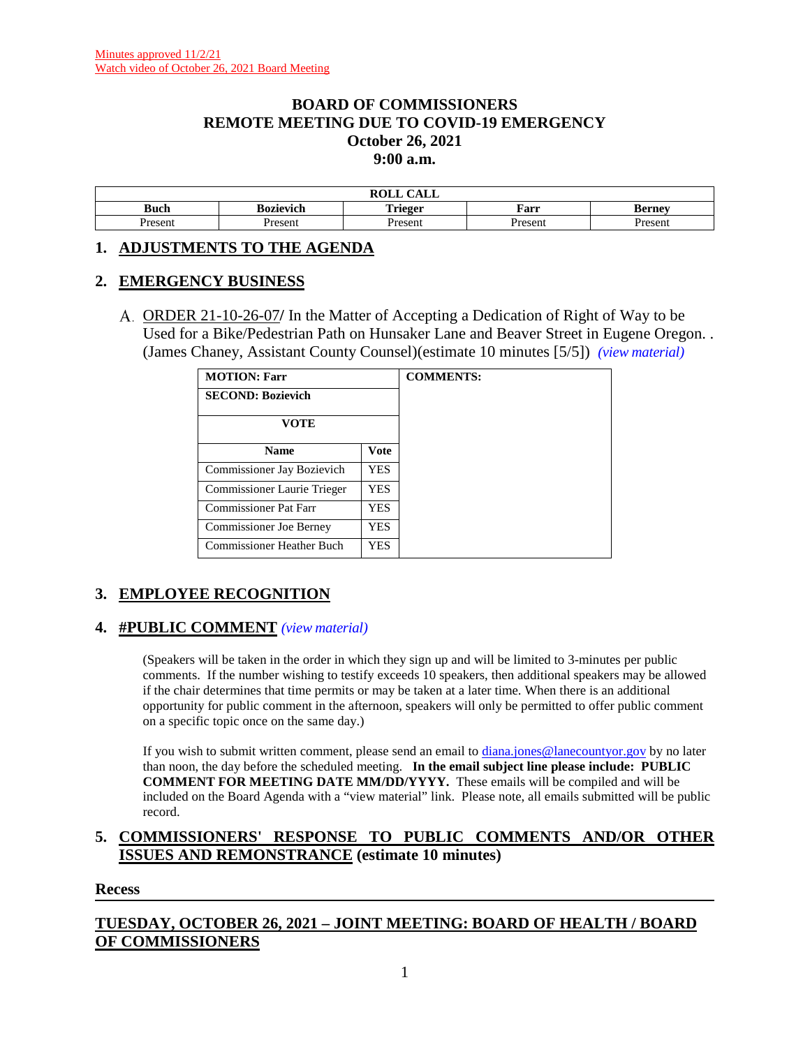### **BOARD OF COMMISSIONERS REMOTE MEETING DUE TO COVID-19 EMERGENCY October 26, 2021 9:00 a.m.**

|             |           | $\bigcap$ $\bigcap$ $\bigcap$<br>$\mathbf{r} \wedge \mathbf{r}$<br>САЫТ<br>11 V.U. |        |        |
|-------------|-----------|------------------------------------------------------------------------------------|--------|--------|
| <b>Buch</b> | Bozievich | `rieger<br>*****                                                                   | Farr   | sernev |
| resent      | Present   | Presen                                                                             | resent | Jracan |

#### **1. ADJUSTMENTS TO THE AGENDA**

#### **2. EMERGENCY BUSINESS**

ORDER 21-10-26-07**/** In the Matter of Accepting a Dedication of Right of Way to be Used for a Bike/Pedestrian Path on Hunsaker Lane and Beaver Street in Eugene Oregon. . (James Chaney, Assistant County Counsel)(estimate 10 minutes [5/5]) *(view [material\)](http://www.lanecountyor.gov/UserFiles/Servers/Server_3585797/File/Government/BCC/2021/2021_AGENDAS/102621agenda/T.2.A.pdf)*

| <b>MOTION: Farr</b>            |            | <b>COMMENTS:</b> |
|--------------------------------|------------|------------------|
| <b>SECOND: Bozievich</b>       |            |                  |
| VOTE                           |            |                  |
| <b>Name</b>                    | Vote       |                  |
| Commissioner Jay Bozievich     | YES        |                  |
| Commissioner Laurie Trieger    | YES        |                  |
| Commissioner Pat Farr          | <b>YES</b> |                  |
| <b>Commissioner Joe Berney</b> | YES        |                  |
| Commissioner Heather Buch      | <b>YES</b> |                  |

# **3. EMPLOYEE RECOGNITION**

#### **4. #PUBLIC COMMENT** *(view [material\)](http://www.lanecountyor.gov/UserFiles/Servers/Server_3585797/File/Government/BCC/2021/2021_AGENDAS/102621agenda/T.4.pdf)*

(Speakers will be taken in the order in which they sign up and will be limited to 3-minutes per public comments. If the number wishing to testify exceeds 10 speakers, then additional speakers may be allowed if the chair determines that time permits or may be taken at a later time. When there is an additional opportunity for public comment in the afternoon, speakers will only be permitted to offer public comment on a specific topic once on the same day.)

If you wish to submit written comment, please send an email to [diana.jones@lanecountyor.gov](mailto:diana.jones@lanecountyor.gov) by no later than noon, the day before the scheduled meeting. **In the email subject line please include: PUBLIC COMMENT FOR MEETING DATE MM/DD/YYYY.** These emails will be compiled and will be included on the Board Agenda with a "view material" link. Please note, all emails submitted will be public record.

### **5. COMMISSIONERS' RESPONSE TO PUBLIC COMMENTS AND/OR OTHER ISSUES AND REMONSTRANCE (estimate 10 minutes)**

#### **Recess**

# **TUESDAY, OCTOBER 26, 2021 – JOINT MEETING: BOARD OF HEALTH / BOARD OF COMMISSIONERS**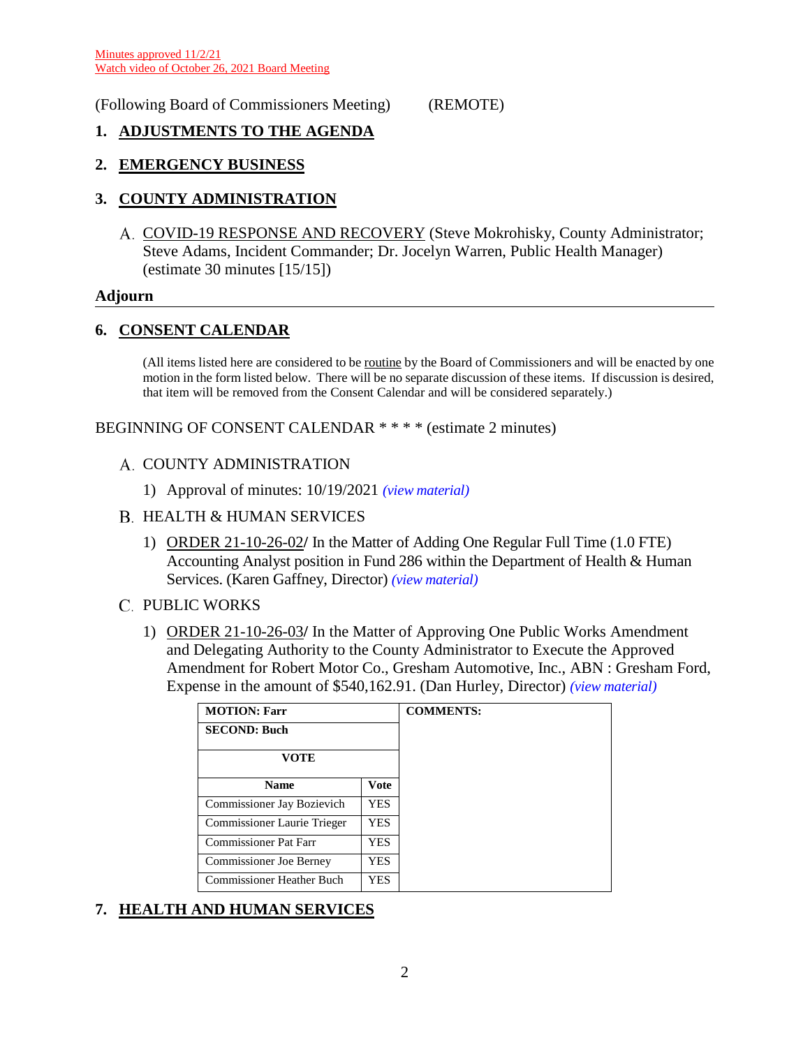### (Following Board of Commissioners Meeting) (REMOTE)

### **1. ADJUSTMENTS TO THE AGENDA**

### **2. EMERGENCY BUSINESS**

### **3. COUNTY ADMINISTRATION**

A. COVID-19 RESPONSE AND RECOVERY (Steve Mokrohisky, County Administrator; Steve Adams, Incident Commander; Dr. Jocelyn Warren, Public Health Manager) (estimate 30 minutes [15/15])

#### **Adjourn**

### **6. CONSENT CALENDAR**

(All items listed here are considered to be routine by the Board of Commissioners and will be enacted by one motion in the form listed below. There will be no separate discussion of these items. If discussion is desired, that item will be removed from the Consent Calendar and will be considered separately.)

BEGINNING OF CONSENT CALENDAR \* \* \* \* (estimate 2 minutes)

- A. COUNTY ADMINISTRATION
	- 1) Approval of minutes: 10/19/2021 *(view [material\)](http://www.lanecountyor.gov/UserFiles/Servers/Server_3585797/File/Government/BCC/2021/2021_AGENDAS/102621agenda/T.6.A.1.pdf)*
- B. HEALTH & HUMAN SERVICES
	- 1) ORDER 21-10-26-02**/** In the Matter of Adding One Regular Full Time (1.0 FTE) Accounting Analyst position in Fund 286 within the Department of Health & Human Services. (Karen Gaffney, Director) *(view [material\)](http://www.lanecountyor.gov/UserFiles/Servers/Server_3585797/File/Government/BCC/2021/2021_AGENDAS/102621agenda/T.6.B.1.pdf)*
- **C. PUBLIC WORKS** 
	- 1) ORDER 21-10-26-03**/** In the Matter of Approving One Public Works Amendment and Delegating Authority to the County Administrator to Execute the Approved Amendment for Robert Motor Co., Gresham Automotive, Inc., ABN : Gresham Ford, Expense in the amount of \$540,162.91. (Dan Hurley, Director) *(view [material\)](http://www.lanecountyor.gov/UserFiles/Servers/Server_3585797/File/Government/BCC/2021/2021_AGENDAS/102621agenda/T.6.C.1.pdf)*

| <b>MOTION: Farr</b>            |            | <b>COMMENTS:</b> |
|--------------------------------|------------|------------------|
| <b>SECOND: Buch</b>            |            |                  |
| VOTE                           |            |                  |
| <b>Name</b>                    | Vote       |                  |
| Commissioner Jay Bozievich     | <b>YES</b> |                  |
| Commissioner Laurie Trieger    | YES.       |                  |
| <b>Commissioner Pat Farr</b>   | <b>YES</b> |                  |
| <b>Commissioner Joe Berney</b> | YES.       |                  |
| Commissioner Heather Buch      | YES        |                  |

# **7. HEALTH AND HUMAN SERVICES**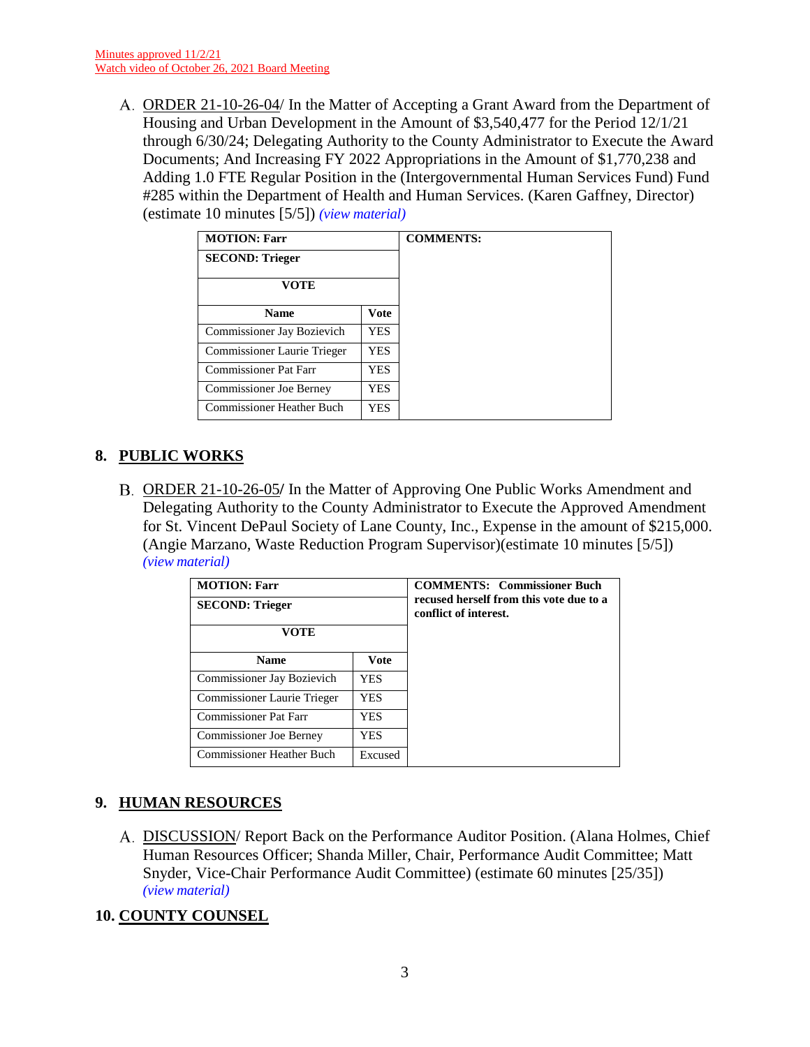ORDER 21-10-26-04/ In the Matter of Accepting a Grant Award from the Department of Housing and Urban Development in the Amount of \$3,540,477 for the Period 12/1/21 through 6/30/24; Delegating Authority to the County Administrator to Execute the Award Documents; And Increasing FY 2022 Appropriations in the Amount of \$1,770,238 and Adding 1.0 FTE Regular Position in the (Intergovernmental Human Services Fund) Fund #285 within the Department of Health and Human Services. (Karen Gaffney, Director) (estimate 10 minutes [5/5]) *(view [material\)](http://www.lanecountyor.gov/UserFiles/Servers/Server_3585797/File/Government/BCC/2021/2021_AGENDAS/102621agenda/T.7.A.pdf)*

| <b>MOTION: Farr</b>              |             |
|----------------------------------|-------------|
| <b>SECOND: Trieger</b>           |             |
| VOTE                             |             |
| <b>Name</b>                      | <b>Vote</b> |
| Commissioner Jay Bozievich       | YES.        |
| Commissioner Laurie Trieger      | YES         |
| <b>Commissioner Pat Farr</b>     | YES         |
| <b>Commissioner Joe Berney</b>   | YES         |
| <b>Commissioner Heather Buch</b> | YES         |

# **8. PUBLIC WORKS**

ORDER 21-10-26-05**/** In the Matter of Approving One Public Works Amendment and Delegating Authority to the County Administrator to Execute the Approved Amendment for St. Vincent DePaul Society of Lane County, Inc., Expense in the amount of \$215,000. (Angie Marzano, Waste Reduction Program Supervisor)(estimate 10 minutes [5/5]) *(view [material\)](http://www.lanecountyor.gov/UserFiles/Servers/Server_3585797/File/Government/BCC/2021/2021_AGENDAS/102621agenda/T.8.A.pdf)*

| <b>MOTION: Farr</b><br><b>SECOND: Trieger</b><br>VOTE |             | <b>COMMENTS:</b> Commissioner Buch<br>recused herself from this vote due to a<br>conflict of interest. |
|-------------------------------------------------------|-------------|--------------------------------------------------------------------------------------------------------|
| <b>Name</b>                                           | <b>Vote</b> |                                                                                                        |
| Commissioner Jay Bozievich                            | YES.        |                                                                                                        |
| Commissioner Laurie Trieger                           | YES         |                                                                                                        |
| <b>Commissioner Pat Farr</b>                          | YES         |                                                                                                        |
| <b>Commissioner Joe Berney</b>                        | <b>YES</b>  |                                                                                                        |
| <b>Commissioner Heather Buch</b>                      | Excused     |                                                                                                        |

# **9. HUMAN RESOURCES**

DISCUSSION/ Report Back on the Performance Auditor Position. (Alana Holmes, Chief Human Resources Officer; Shanda Miller, Chair, Performance Audit Committee; Matt Snyder, Vice-Chair Performance Audit Committee) (estimate 60 minutes [25/35]) *(view [material\)](http://www.lanecountyor.gov/UserFiles/Servers/Server_3585797/File/Government/BCC/2021/2021_AGENDAS/102621agenda/T.9.A.pdf)*

# **10. COUNTY COUNSEL**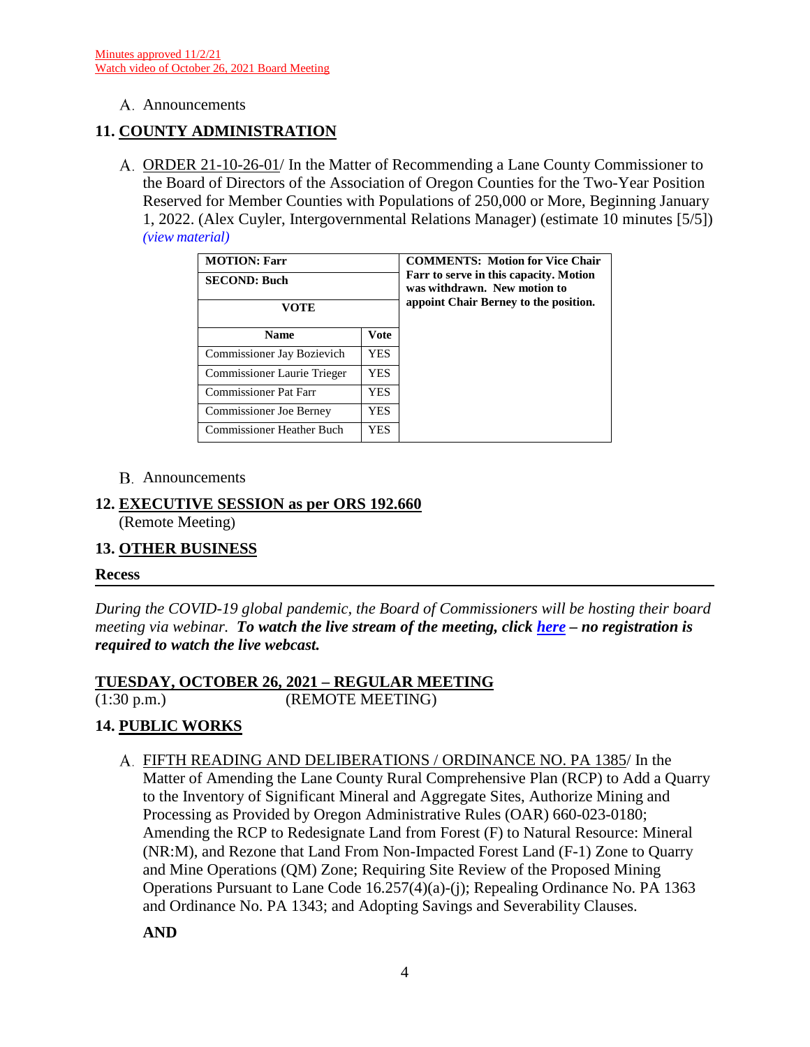### A. Announcements

# **11. COUNTY ADMINISTRATION**

A. ORDER 21-10-26-01/ In the Matter of Recommending a Lane County Commissioner to the Board of Directors of the Association of Oregon Counties for the Two-Year Position Reserved for Member Counties with Populations of 250,000 or More, Beginning January 1, 2022. (Alex Cuyler, Intergovernmental Relations Manager) (estimate 10 minutes [5/5]) *(view [material\)](http://www.lanecountyor.gov/UserFiles/Servers/Server_3585797/File/Government/BCC/2021/2021_AGENDAS/102621agenda/T.11.A.pdf)*

| <b>MOTION: Farr</b><br><b>SECOND: Buch</b><br>VOTE |            | <b>COMMENTS: Motion for Vice Chair</b><br>Farr to serve in this capacity. Motion<br>was withdrawn. New motion to<br>appoint Chair Berney to the position. |
|----------------------------------------------------|------------|-----------------------------------------------------------------------------------------------------------------------------------------------------------|
| <b>Name</b>                                        | Vote       |                                                                                                                                                           |
| <b>Commissioner Jay Bozievich</b>                  | <b>YES</b> |                                                                                                                                                           |
| Commissioner Laurie Trieger                        | YES.       |                                                                                                                                                           |
| <b>Commissioner Pat Farr</b>                       | YES        |                                                                                                                                                           |
| <b>Commissioner Joe Berney</b>                     | YES.       |                                                                                                                                                           |
| <b>Commissioner Heather Buch</b>                   | YES        |                                                                                                                                                           |

### Announcements

# **12. EXECUTIVE SESSION as per ORS 192.660**

(Remote Meeting)

# **13. OTHER BUSINESS**

### **Recess**

*During the COVID-19 global pandemic, the Board of Commissioners will be hosting their board meeting via webinar. To watch the live stream of the meeting, click [here](https://lanecounty.org/cms/One.aspx?portalId=3585881&pageId=7842434) – no registration is required to watch the live webcast.* 

# **TUESDAY, OCTOBER 26, 2021 – REGULAR MEETING**

(1:30 p.m.) (REMOTE MEETING)

# **14. PUBLIC WORKS**

FIFTH READING AND DELIBERATIONS / ORDINANCE NO. PA 1385/ In the Matter of Amending the Lane County Rural Comprehensive Plan (RCP) to Add a Quarry to the Inventory of Significant Mineral and Aggregate Sites, Authorize Mining and Processing as Provided by Oregon Administrative Rules (OAR) 660-023-0180; Amending the RCP to Redesignate Land from Forest (F) to Natural Resource: Mineral (NR:M), and Rezone that Land From Non-Impacted Forest Land (F-1) Zone to Quarry and Mine Operations (QM) Zone; Requiring Site Review of the Proposed Mining Operations Pursuant to Lane Code 16.257(4)(a)-(j); Repealing Ordinance No. PA 1363 and Ordinance No. PA 1343; and Adopting Savings and Severability Clauses.

**AND**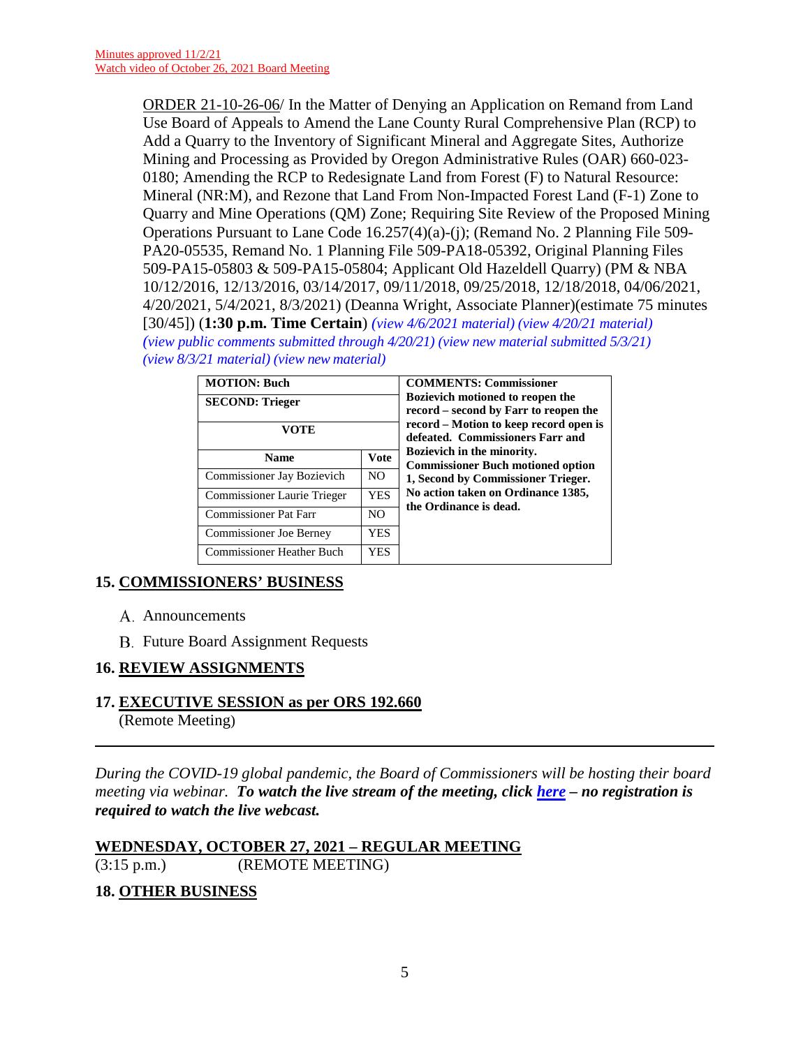ORDER 21-10-26-06/ In the Matter of Denying an Application on Remand from Land Use Board of Appeals to Amend the Lane County Rural Comprehensive Plan (RCP) to Add a Quarry to the Inventory of Significant Mineral and Aggregate Sites, Authorize Mining and Processing as Provided by Oregon Administrative Rules (OAR) 660-023- 0180; Amending the RCP to Redesignate Land from Forest (F) to Natural Resource: Mineral (NR:M), and Rezone that Land From Non-Impacted Forest Land (F-1) Zone to Quarry and Mine Operations (QM) Zone; Requiring Site Review of the Proposed Mining Operations Pursuant to Lane Code 16.257(4)(a)-(j); (Remand No. 2 Planning File 509- PA20-05535, Remand No. 1 Planning File 509-PA18-05392, Original Planning Files 509-PA15-05803 & 509-PA15-05804; Applicant Old Hazeldell Quarry) (PM & NBA 10/12/2016, 12/13/2016, 03/14/2017, 09/11/2018, 09/25/2018, 12/18/2018, 04/06/2021, 4/20/2021, 5/4/2021, 8/3/2021) (Deanna Wright, Associate Planner)(estimate 75 minutes [30/45]) (**1:30 p.m. Time Certain**) *[\(view 4/6/2021 material\)](http://www.lanecountyor.gov/UserFiles/Servers/Server_3585797/File/Government/BCC/2021/2021_AGENDAS/040621agenda/T.10.A.pdf) [\(view 4/20/21 material\)](http://www.lanecountyor.gov/UserFiles/Servers/Server_3585797/File/Government/BCC/2021/2021_AGENDAS/042021agenda/T.12.A.pdf) [\(view public comments submitted through](http://www.lanecountyor.gov/UserFiles/Servers/Server_3585797/File/Government/BCC/2021/2021_AGENDAS/050421agenda/T.12.A.pdf) 4/20/21) [\(view new material submitted 5/3/21\)](http://www.lanecountyor.gov/UserFiles/Servers/Server_3585797/File/Government/BCC/2021/2021_AGENDAS/050421agenda/T.12.Asupp.pdf) [\(view 8/3/21 material\)](http://www.lanecountyor.gov/UserFiles/Servers/Server_3585797/File/Government/BCC/2021/2021_AGENDAS/080321agenda/T.12.A.pdf) (view [new material\)](http://www.lanecountyor.gov/UserFiles/Servers/Server_3585797/File/Government/BCC/2021/2021_AGENDAS/102621agenda/T.14.A.pdf)*

| <b>MOTION: Buch</b><br><b>SECOND: Trieger</b><br>VOTE |                | <b>COMMENTS: Commissioner</b><br><b>Bozievich motioned to reopen the</b><br>record – second by Farr to reopen the<br>record – Motion to keep record open is<br>defeated. Commissioners Farr and |
|-------------------------------------------------------|----------------|-------------------------------------------------------------------------------------------------------------------------------------------------------------------------------------------------|
| <b>Name</b>                                           | <b>Vote</b>    | Bozievich in the minority.<br><b>Commissioner Buch motioned option</b>                                                                                                                          |
| Commissioner Jay Bozievich                            | N <sub>O</sub> | 1, Second by Commissioner Trieger.                                                                                                                                                              |
| Commissioner Laurie Trieger                           | <b>YES</b>     | No action taken on Ordinance 1385,                                                                                                                                                              |
| <b>Commissioner Pat Farr</b>                          | N <sub>O</sub> | the Ordinance is dead.                                                                                                                                                                          |
| <b>Commissioner Joe Berney</b>                        | <b>YES</b>     |                                                                                                                                                                                                 |
| <b>Commissioner Heather Buch</b>                      | YES            |                                                                                                                                                                                                 |

# **15. COMMISSIONERS' BUSINESS**

- A. Announcements
- **B.** Future Board Assignment Requests

# **16. REVIEW ASSIGNMENTS**

**17. EXECUTIVE SESSION as per ORS 192.660** (Remote Meeting)

*During the COVID-19 global pandemic, the Board of Commissioners will be hosting their board meeting via webinar. To watch the live stream of the meeting, click [here](https://lanecounty.org/cms/One.aspx?portalId=3585881&pageId=7842434) – no registration is required to watch the live webcast.* 

# **WEDNESDAY, OCTOBER 27, 2021 – REGULAR MEETING** (3:15 p.m.) (REMOTE MEETING)

# **18. OTHER BUSINESS**